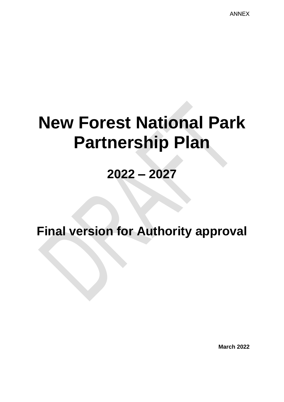ANNEX

# **New Forest National Park Partnership Plan**

# **2022 – 2027**

**Final version for Authority approval** 

**March 2022**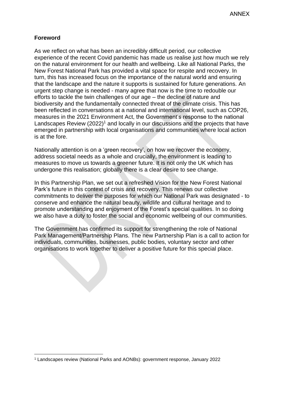#### **Foreword**

As we reflect on what has been an incredibly difficult period, our collective experience of the recent Covid pandemic has made us realise just how much we rely on the natural environment for our health and wellbeing. Like all National Parks, the New Forest National Park has provided a vital space for respite and recovery. In turn, this has increased focus on the importance of the natural world and ensuring that the landscape and the nature it supports is sustained for future generations. An urgent step change is needed - many agree that now is the time to redouble our efforts to tackle the twin challenges of our age – the decline of nature and biodiversity and the fundamentally connected threat of the climate crisis. This has been reflected in conversations at a national and international level, such as COP26, measures in the 2021 Environment Act, the Government's response to the national Landscapes Review  $(2022)^1$  and locally in our discussions and the projects that have emerged in partnership with local organisations and communities where local action is at the fore.

Nationally attention is on a 'green recovery', on how we recover the economy, address societal needs as a whole and crucially, the environment is leading to measures to move us towards a greener future. It is not only the UK which has undergone this realisation; globally there is a clear desire to see change.

In this Partnership Plan, we set out a refreshed Vision for the New Forest National Park's future in this context of crisis and recovery. This renews our collective commitments to deliver the purposes for which our National Park was designated - to conserve and enhance the natural beauty, wildlife and cultural heritage and to promote understanding and enjoyment of the Forest's special qualities. In so doing we also have a duty to foster the social and economic wellbeing of our communities.

The Government has confirmed its support for strengthening the role of National Park Management/Partnership Plans. The new Partnership Plan is a call to action for individuals, communities, businesses, public bodies, voluntary sector and other organisations to work together to deliver a positive future for this special place.

<sup>1</sup> Landscapes review (National Parks and AONBs): government response, January 2022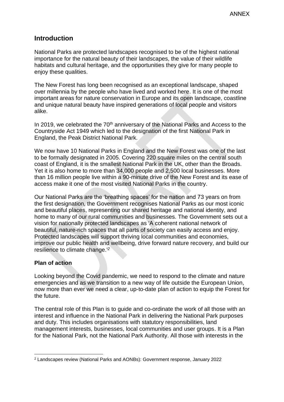## **Introduction**

National Parks are protected landscapes recognised to be of the highest national importance for the natural beauty of their landscapes, the value of their wildlife habitats and cultural heritage, and the opportunities they give for many people to enjoy these qualities.

The New Forest has long been recognised as an exceptional landscape, shaped over millennia by the people who have lived and worked here. It is one of the most important areas for nature conservation in Europe and its open landscape, coastline and unique natural beauty have inspired generations of local people and visitors alike.

In 2019, we celebrated the 70<sup>th</sup> anniversary of the National Parks and Access to the Countryside Act 1949 which led to the designation of the first National Park in England, the Peak District National Park.

We now have 10 National Parks in England and the New Forest was one of the last to be formally designated in 2005. Covering 220 square miles on the central south coast of England, it is the smallest National Park in the UK, other than the Broads. Yet it is also home to more than 34,000 people and 2,500 local businesses. More than 16 million people live within a 90-minute drive of the New Forest and its ease of access make it one of the most visited National Parks in the country.

Our National Parks are the 'breathing spaces' for the nation and 73 years on from the first designation, the Government recognises National Parks as our most iconic and beautiful places, representing our shared heritage and national identity, and home to many of our rural communities and businesses. The Government sets out a vision for nationally protected landscapes as 'A coherent national network of beautiful, nature-rich spaces that all parts of society can easily access and enjoy. Protected landscapes will support thriving local communities and economies, improve our public health and wellbeing, drive forward nature recovery, and build our resilience to climate change.'*<sup>2</sup>*

#### **Plan of action**

Looking beyond the Covid pandemic, we need to respond to the climate and nature emergencies and as we transition to a new way of life outside the European Union, now more than ever we need a clear, up-to-date plan of action to equip the Forest for the future.

The central role of this Plan is to guide and co-ordinate the work of all those with an interest and influence in the National Park in delivering the National Park purposes and duty. This includes organisations with statutory responsibilities, land management interests, businesses, local communities and user groups. It is a Plan for the National Park, not the National Park Authority. All those with interests in the

<sup>2</sup> Landscapes review (National Parks and AONBs): Government response, January 2022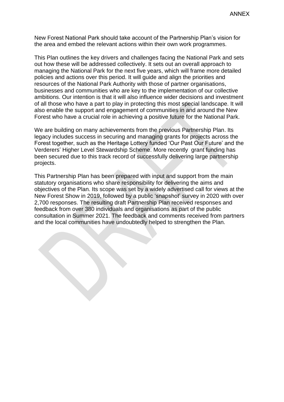New Forest National Park should take account of the Partnership Plan's vision for the area and embed the relevant actions within their own work programmes.

This Plan outlines the key drivers and challenges facing the National Park and sets out how these will be addressed collectively. It sets out an overall approach to managing the National Park for the next five years, which will frame more detailed policies and actions over this period. It will guide and align the priorities and resources of the National Park Authority with those of partner organisations, businesses and communities who are key to the implementation of our collective ambitions. Our intention is that it will also influence wider decisions and investment of all those who have a part to play in protecting this most special landscape. It will also enable the support and engagement of communities in and around the New Forest who have a crucial role in achieving a positive future for the National Park.

We are building on many achievements from the previous Partnership Plan. Its legacy includes success in securing and managing grants for projects across the Forest together, such as the Heritage Lottery funded 'Our Past Our Future' and the Verderers' Higher Level Stewardship Scheme. More recently grant funding has been secured due to this track record of successfully delivering large partnership projects.

This Partnership Plan has been prepared with input and support from the main statutory organisations who share responsibility for delivering the aims and objectives of the Plan. Its scope was set by a widely advertised call for views at the New Forest Show in 2019, followed by a public 'snapshot' survey in 2020 with over 2,700 responses. The resulting draft Partnership Plan received responses and feedback from over 380 individuals and organisations as part of the public consultation in Summer 2021. The feedback and comments received from partners and the local communities have undoubtedly helped to strengthen the Plan.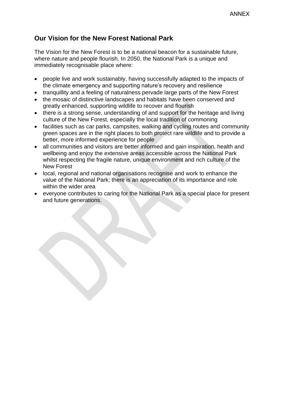# **Our Vision for the New Forest National Park**

The Vision for the New Forest is to be a national beacon for a sustainable future, where nature and people flourish. In 2050, the National Park is a unique and immediately recognisable place where:

- people live and work sustainably, having successfully adapted to the impacts of the climate emergency and supporting nature's recovery and resilience
- tranquillity and a feeling of naturalness pervade large parts of the New Forest
- the mosaic of distinctive landscapes and habitats have been conserved and greatly enhanced, supporting wildlife to recover and flourish
- there is a strong sense, understanding of and support for the heritage and living culture of the New Forest, especially the local tradition of commoning
- facilities such as car parks, campsites, walking and cycling routes and community green spaces are in the right places to both protect rare wildlife and to provide a better, more informed experience for people
- all communities and visitors are better informed and gain inspiration, health and wellbeing and enjoy the extensive areas accessible across the National Park whilst respecting the fragile nature, unique environment and rich culture of the New Forest
- local, regional and national organisations recognise and work to enhance the value of the National Park; there is an appreciation of its importance and role within the wider area
- everyone contributes to caring for the National Park as a special place for present and future generations.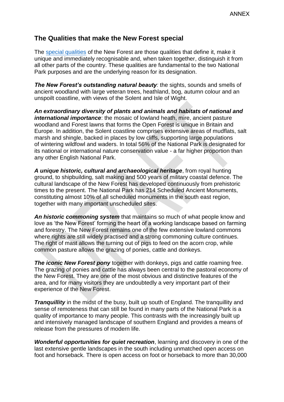## **The Qualities that make the New Forest special**

The [special qualities](https://www.newforestnpa.gov.uk/documents/discover/special-qualities-of-the-new-forest-national-park/) of the New Forest are those qualities that define it, make it unique and immediately recognisable and, when taken together, distinguish it from all other parts of the country. These qualities are fundamental to the two National Park purposes and are the underlying reason for its designation.

*The New Forest's outstanding natural beauty:* the sights, sounds and smells of ancient woodland with large veteran trees, heathland, bog, autumn colour and an unspoilt coastline, with views of the Solent and Isle of Wight.

*An extraordinary diversity of plants and animals and habitats of national and international importance*: the mosaic of lowland heath, mire, ancient pasture woodland and Forest lawns that forms the Open Forest is unique in Britain and Europe. In addition, the Solent coastline comprises extensive areas of mudflats, salt marsh and shingle, backed in places by low cliffs, supporting large populations of wintering wildfowl and waders. In total 56% of the National Park is designated for its national or international nature conservation value - a far higher proportion than any other English National Park.

*A unique historic, cultural and archaeological heritage*, from royal hunting ground, to shipbuilding, salt making and 500 years of military coastal defence. The cultural landscape of the New Forest has developed continuously from prehistoric times to the present. The National Park has 214 Scheduled Ancient Monuments, constituting almost 10% of all scheduled monuments in the south east region, together with many important unscheduled sites.

*An historic commoning system* that maintains so much of what people know and love as 'the New Forest' forming the heart of a working landscape based on farming and forestry. The New Forest remains one of the few extensive lowland commons where rights are still widely practised and a strong commoning culture continues. The right of mast allows the turning out of pigs to feed on the acorn crop, while common pasture allows the grazing of ponies, cattle and donkeys.

**The iconic New Forest pony** together with donkeys, pigs and cattle roaming free. The grazing of ponies and cattle has always been central to the pastoral economy of the New Forest. They are one of the most obvious and distinctive features of the area, and for many visitors they are undoubtedly a very important part of their experience of the New Forest.

*Tranquillity* in the midst of the busy, built up south of England. The tranquillity and sense of remoteness that can still be found in many parts of the National Park is a quality of importance to many people. This contrasts with the increasingly built up and intensively managed landscape of southern England and provides a means of release from the pressures of modern life.

*Wonderful opportunities for quiet recreation*, learning and discovery in one of the last extensive gentle landscapes in the south including unmatched open access on foot and horseback. There is open access on foot or horseback to more than 30,000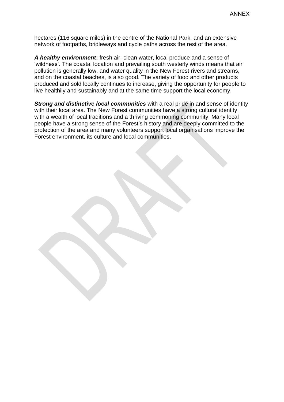hectares (116 square miles) in the centre of the National Park, and an extensive network of footpaths, bridleways and cycle paths across the rest of the area.

*A healthy environment***:** fresh air, clean water, local produce and a sense of 'wildness'. The coastal location and prevailing south westerly winds means that air pollution is generally low, and water quality in the New Forest rivers and streams, and on the coastal beaches, is also good. The variety of food and other products produced and sold locally continues to increase, giving the opportunity for people to live healthily and sustainably and at the same time support the local economy.

*Strong and distinctive local communities* with a real pride in and sense of identity with their local area. The New Forest communities have a strong cultural identity, with a wealth of local traditions and a thriving commoning community. Many local people have a strong sense of the Forest's history and are deeply committed to the protection of the area and many volunteers support local organisations improve the Forest environment, its culture and local communities.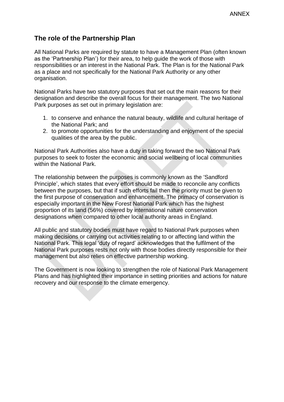# **The role of the Partnership Plan**

All National Parks are required by statute to have a Management Plan (often known as the 'Partnership Plan') for their area, to help guide the work of those with responsibilities or an interest in the National Park. The Plan is for the National Park as a place and not specifically for the National Park Authority or any other organisation.

National Parks have two statutory purposes that set out the main reasons for their designation and describe the overall focus for their management. The two National Park purposes as set out in primary legislation are:

- 1. to conserve and enhance the natural beauty, wildlife and cultural heritage of the National Park; and
- 2. to promote opportunities for the understanding and enjoyment of the special qualities of the area by the public.

National Park Authorities also have a duty in taking forward the two National Park purposes to seek to foster the economic and social wellbeing of local communities within the National Park.

The relationship between the purposes is commonly known as the 'Sandford Principle', which states that every effort should be made to reconcile any conflicts between the purposes, but that if such efforts fail then the priority must be given to the first purpose of conservation and enhancement. The primacy of conservation is especially important in the New Forest National Park which has the highest proportion of its land (56%) covered by international nature conservation designations when compared to other local authority areas in England.

All public and statutory bodies must have regard to National Park purposes when making decisions or carrying out activities relating to or affecting land within the National Park. This legal 'duty of regard' acknowledges that the fulfilment of the National Park purposes rests not only with those bodies directly responsible for their management but also relies on effective partnership working.

The Government is now looking to strengthen the role of National Park Management Plans and has highlighted their importance in setting priorities and actions for nature recovery and our response to the climate emergency.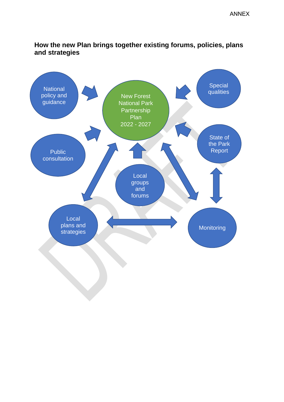# **How the new Plan brings together existing forums, policies, plans and strategies**

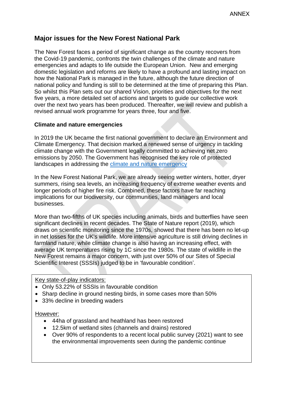# **Major issues for the New Forest National Park**

The New Forest faces a period of significant change as the country recovers from the Covid-19 pandemic, confronts the twin challenges of the climate and nature emergencies and adapts to life outside the European Union. New and emerging domestic legislation and reforms are likely to have a profound and lasting impact on how the National Park is managed in the future, although the future direction of national policy and funding is still to be determined at the time of preparing this Plan. So whilst this Plan sets out our shared Vision, priorities and objectives for the next five years, a more detailed set of actions and targets to guide our collective work over the next two years has been produced. Thereafter, we will review and publish a revised annual work programme for years three, four and five.

#### **Climate and nature emergencies**

In 2019 the UK became the first national government to declare an Environment and Climate Emergency. That decision marked a renewed sense of urgency in tackling climate change with the Government legally committed to achieving net zero emissions by 2050. The Government has recognised the key role of protected landscapes in addressing the [climate and nature emergency](https://www.newforestnpa.gov.uk/conservation/climate-and-nature-emergency/) 

In the New Forest National Park, we are already seeing wetter winters, hotter, dryer summers, rising sea levels, an increasing frequency of extreme weather events and longer periods of higher fire risk. Combined, these factors have far reaching implications for our biodiversity, our communities, land managers and local businesses.

More than two-fifths of UK species including animals, birds and butterflies have seen significant declines in recent decades. The State of Nature report (2019), which draws on scientific monitoring since the 1970s, showed that there has been no let-up in net losses for the UK's wildlife. More intensive agriculture is still driving declines in farmland nature, while climate change is also having an increasing effect, with average UK temperatures rising by 1C since the 1980s. The state of wildlife in the New Forest remains a major concern, with just over 50% of our Sites of Special Scientific Interest (SSSIs) judged to be in 'favourable condition'.

Key state-of-play indicators:

- Only 53.22% of SSSIs in favourable condition
- Sharp decline in ground nesting birds, in some cases more than 50%
- 33% decline in breeding waders

#### However:

- 44ha of grassland and heathland has been restored
- 12.5km of wetland sites (channels and drains) restored
- Over 90% of respondents to a recent local public survey (2021) want to see the environmental improvements seen during the pandemic continue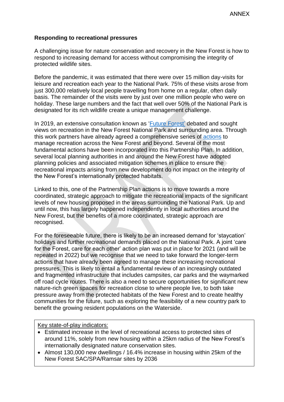#### **Responding to recreational pressures**

A challenging issue for nature conservation and recovery in the New Forest is how to respond to increasing demand for access without compromising the integrity of protected wildlife sites.

Before the pandemic, it was estimated that there were over 15 million day-visits for leisure and recreation each year to the National Park. 75% of these visits arose from just 300,000 relatively local people travelling from home on a regular, often daily basis. The remainder of the visits were by just over one million people who were on holiday. These large numbers and the fact that well over 50% of the National Park is designated for its rich wildlife create a unique management challenge.

In 2019, an extensive consultation known as ['Future Forest'](https://www.newforestnpa.gov.uk/conservation/managing-recreation/future-forest/) debated and sought views on recreation in the New Forest National Park and surrounding area. Through this work partners have already agreed a comprehensive series of [actions](https://www.newforestnpa.gov.uk/conservation/managing-recreation/future-forest/future-forest-actions/) to manage recreation across the New Forest and beyond. Several of the most fundamental actions have been incorporated into this Partnership Plan. In addition, several local planning authorities in and around the New Forest have adopted planning policies and associated mitigation schemes in place to ensure the recreational impacts arising from new development do not impact on the integrity of the New Forest's internationally protected habitats.

Linked to this, one of the Partnership Plan actions is to move towards a more coordinated, strategic approach to mitigate the recreational impacts of the significant levels of new housing proposed in the areas surrounding the National Park. Up and until now, this has largely happened independently in local authorities around the New Forest, but the benefits of a more coordinated, strategic approach are recognised.

For the foreseeable future, there is likely to be an increased demand for 'staycation' holidays and further recreational demands placed on the National Park. A joint 'care for the Forest, care for each other' action plan was put in place for 2021 (and will be repeated in 2022) but we recognise that we need to take forward the longer-term actions that have already been agreed to manage these increasing recreational pressures. This is likely to entail a fundamental review of an increasingly outdated and fragmented infrastructure that includes campsites, car parks and the waymarked off road cycle routes. There is also a need to secure opportunities for significant new nature-rich green spaces for recreation close to where people live, to both take pressure away from the protected habitats of the New Forest and to create healthy communities for the future, such as exploring the feasibility of a new country park to benefit the growing resident populations on the Waterside.

Key state-of-play indicators:

- Estimated increase in the level of recreational access to protected sites of around 11%, solely from new housing within a 25km radius of the New Forest's internationally designated nature conservation sites.
- Almost 130,000 new dwellings / 16.4% increase in housing within 25km of the New Forest SAC/SPA/Ramsar sites by 2036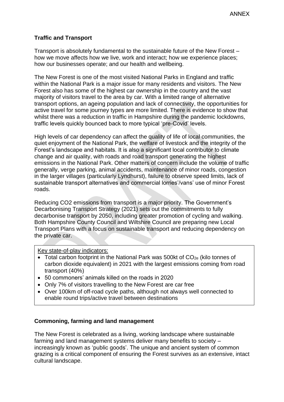#### **Traffic and Transport**

Transport is absolutely fundamental to the sustainable future of the New Forest – how we move affects how we live, work and interact; how we experience places; how our businesses operate; and our health and wellbeing.

The New Forest is one of the most visited National Parks in England and traffic within the National Park is a major issue for many residents and visitors. The New Forest also has some of the highest car ownership in the country and the vast majority of visitors travel to the area by car. With a limited range of alternative transport options, an ageing population and lack of connectivity, the opportunities for active travel for some journey types are more limited. There is evidence to show that whilst there was a reduction in traffic in Hampshire during the pandemic lockdowns, traffic levels quickly bounced back to more typical 'pre-Covid' levels.

High levels of car dependency can affect the quality of life of local communities, the quiet enjoyment of the National Park, the welfare of livestock and the integrity of the Forest's landscape and habitats. It is also a significant local contributor to climate change and air quality, with roads and road transport generating the highest emissions in the National Park. Other matters of concern include the volume of traffic generally, verge parking, animal accidents, maintenance of minor roads, congestion in the larger villages (particularly Lyndhurst), failure to observe speed limits, lack of sustainable transport alternatives and commercial lorries'/vans' use of minor Forest roads.

Reducing CO2 emissions from transport is a major priority. The Government's Decarbonising Transport Strategy (2021) sets out the commitments to fully decarbonise transport by 2050, including greater promotion of cycling and walking. Both Hampshire County Council and Wiltshire Council are preparing new Local Transport Plans with a focus on sustainable transport and reducing dependency on the private car.

#### Key state-of-play indicators:

- Total carbon footprint in the National Park was 500kt of  $CO_{2e}$  (kilo tonnes of carbon dioxide equivalent) in 2021 with the largest emissions coming from road transport (40%)
- 50 commoners' animals killed on the roads in 2020
- Only 7% of visitors travelling to the New Forest are car free
- Over 100km of off-road cycle paths, although not always well connected to enable round trips/active travel between destinations

#### **Commoning, farming and land management**

The New Forest is celebrated as a living, working landscape where sustainable farming and land management systems deliver many benefits to society – increasingly known as 'public goods'. The unique and ancient system of common grazing is a critical component of ensuring the Forest survives as an extensive, intact cultural landscape.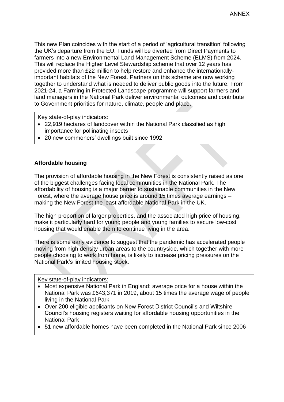This new Plan coincides with the start of a period of 'agricultural transition' following the UK's departure from the EU. Funds will be diverted from Direct Payments to farmers into a new Environmental Land Management Scheme (ELMS) from 2024. This will replace the Higher Level Stewardship scheme that over 12 years has provided more than £22 million to help restore and enhance the internationallyimportant habitats of the New Forest. Partners on this scheme are now working together to understand what is needed to deliver public goods into the future. From 2021-24, a Farming in Protected Landscape programme will support farmers and land managers in the National Park deliver environmental outcomes and contribute to Government priorities for nature, climate, people and place.

Key state-of-play indicators:

- 22,919 hectares of landcover within the National Park classified as high importance for pollinating insects
- 20 new commoners' dwellings built since 1992

#### **Affordable housing**

The provision of affordable housing in the New Forest is consistently raised as one of the biggest challenges facing local communities in the National Park. The affordability of housing is a major barrier to sustainable communities in the New Forest, where the average house price is around 15 times average earnings – making the New Forest the least affordable National Park in the UK.

The high proportion of larger properties, and the associated high price of housing, make it particularly hard for young people and young families to secure low-cost housing that would enable them to continue living in the area.

There is some early evidence to suggest that the pandemic has accelerated people moving from high density urban areas to the countryside, which together with more people choosing to work from home, is likely to increase pricing pressures on the National Park's limited housing stock.

Key state-of-play indicators:

- Most expensive National Park in England: average price for a house within the National Park was £643,371 in 2019, about 15 times the average wage of people living in the National Park
- Over 200 eligible applicants on New Forest District Council's and Wiltshire Council's housing registers waiting for affordable housing opportunities in the National Park
- 51 new affordable homes have been completed in the National Park since 2006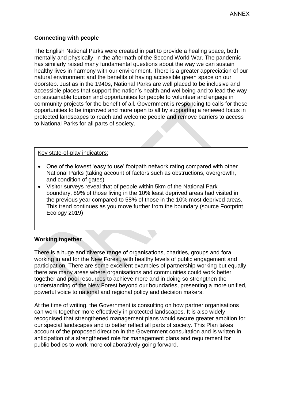#### **Connecting with people**

The English National Parks were created in part to provide a healing space, both mentally and physically, in the aftermath of the Second World War. The pandemic has similarly raised many fundamental questions about the way we can sustain healthy lives in harmony with our environment. There is a greater appreciation of our natural environment and the benefits of having accessible green space on our doorstep. Just as in the 1940s, National Parks are well placed to be inclusive and accessible places that support the nation's health and wellbeing and to lead the way on sustainable tourism and opportunities for people to volunteer and engage in community projects for the benefit of all. Government is responding to calls for these opportunities to be improved and more open to all by supporting a renewed focus in protected landscapes to reach and welcome people and remove barriers to access to National Parks for all parts of society.

#### Key state-of-play indicators:

- One of the lowest 'easy to use' footpath network rating compared with other National Parks (taking account of factors such as obstructions, overgrowth, and condition of gates)
- Visitor surveys reveal that of people within 5km of the National Park boundary, 89% of those living in the 10% least deprived areas had visited in the previous year compared to 58% of those in the 10% most deprived areas. This trend continues as you move further from the boundary (source Footprint Ecology 2019)

#### **Working together**

There is a huge and diverse range of organisations, charities, groups and fora working in and for the New Forest, with healthy levels of public engagement and participation. There are some excellent examples of partnership working but equally there are many areas where organisations and communities could work better together and pool resources to achieve more and in doing so strengthen the understanding of the New Forest beyond our boundaries, presenting a more unified, powerful voice to national and regional policy and decision makers.

At the time of writing, the Government is consulting on how partner organisations can work together more effectively in protected landscapes. It is also widely recognised that strengthened management plans would secure greater ambition for our special landscapes and to better reflect all parts of society. This Plan takes account of the proposed direction in the Government consultation and is written in anticipation of a strengthened role for management plans and requirement for public bodies to work more collaboratively going forward.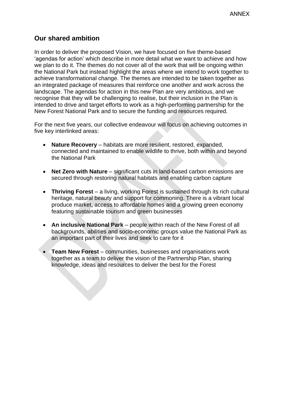# **Our shared ambition**

In order to deliver the proposed Vision, we have focused on five theme-based 'agendas for action' which describe in more detail what we want to achieve and how we plan to do it. The themes do not cover all of the work that will be ongoing within the National Park but instead highlight the areas where we intend to work together to achieve transformational change. The themes are intended to be taken together as an integrated package of measures that reinforce one another and work across the landscape. The agendas for action in this new Plan are very ambitious, and we recognise that they will be challenging to realise, but their inclusion in the Plan is intended to drive and target efforts to work as a high-performing partnership for the New Forest National Park and to secure the funding and resources required.

For the next five years, our collective endeavour will focus on achieving outcomes in five key interlinked areas:

- **Nature Recovery** habitats are more resilient, restored, expanded, connected and maintained to enable wildlife to thrive, both within and beyond the National Park
- **Net Zero with Nature** significant cuts in land-based carbon emissions are secured through restoring natural habitats and enabling carbon capture
- **Thriving Forest** a living, working Forest is sustained through its rich cultural heritage, natural beauty and support for commoning. There is a vibrant local produce market, access to affordable homes and a growing green economy featuring sustainable tourism and green businesses
- **An inclusive National Park** people within reach of the New Forest of all backgrounds, abilities and socio-economic groups value the National Park as an important part of their lives and seek to care for it
- **Team New Forest** communities, businesses and organisations work together as a team to deliver the vision of the Partnership Plan, sharing knowledge, ideas and resources to deliver the best for the Forest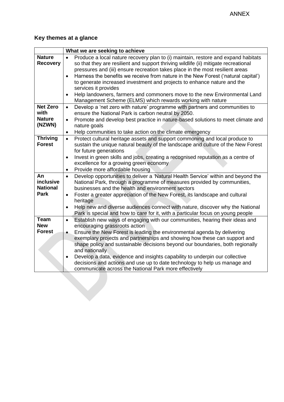# **Key themes at a glance**

|                             | What we are seeking to achieve |                                                                                                                                    |
|-----------------------------|--------------------------------|------------------------------------------------------------------------------------------------------------------------------------|
| <b>Nature</b>               |                                | Produce a local nature recovery plan to (i) maintain, restore and expand habitats                                                  |
| <b>Recovery</b>             |                                | so that they are resilient and support thriving wildlife (ii) mitigate recreational                                                |
|                             |                                | pressures and (iii) ensure recreation takes place in the most resilient areas                                                      |
|                             | $\bullet$                      | Harness the benefits we receive from nature in the New Forest ('natural capital')                                                  |
|                             |                                | to generate increased investment and projects to enhance nature and the                                                            |
|                             |                                | services it provides                                                                                                               |
|                             | $\bullet$                      | Help landowners, farmers and commoners move to the new Environmental Land                                                          |
|                             |                                | Management Scheme (ELMS) which rewards working with nature                                                                         |
| <b>Net Zero</b>             | $\bullet$                      | Develop a 'net zero with nature' programme with partners and communities to                                                        |
| with                        |                                | ensure the National Park is carbon neutral by 2050.                                                                                |
| <b>Nature</b>               | $\bullet$                      | Promote and develop best practice in nature-based solutions to meet climate and                                                    |
| (NZWN)                      |                                | nature goals                                                                                                                       |
|                             | $\bullet$                      | Help communities to take action on the climate emergency                                                                           |
| <b>Thriving</b>             | $\bullet$                      | Protect cultural heritage assets and support commoning and local produce to                                                        |
| <b>Forest</b>               |                                | sustain the unique natural beauty of the landscape and culture of the New Forest                                                   |
|                             |                                | for future generations                                                                                                             |
|                             | $\bullet$                      | Invest in green skills and jobs, creating a recognised reputation as a centre of                                                   |
|                             |                                | excellence for a growing green economy                                                                                             |
|                             | $\bullet$                      | Provide more affordable housing                                                                                                    |
| An                          | $\bullet$                      | Develop opportunities to deliver a 'Natural Health Service' within and beyond the                                                  |
| inclusive                   |                                | National Park, through a programme of measures provided by communities,                                                            |
| <b>National</b>             |                                | businesses and the health and environment sectors                                                                                  |
| Park                        | $\bullet$                      | Foster a greater appreciation of the New Forest, its landscape and cultural                                                        |
|                             |                                | heritage                                                                                                                           |
|                             | $\bullet$                      | Help new and diverse audiences connect with nature, discover why the National                                                      |
|                             |                                | Park is special and how to care for it, with a particular focus on young people                                                    |
| <b>Team</b>                 | $\bullet$                      | Establish new ways of engaging with our communities, hearing their ideas and                                                       |
| <b>New</b><br><b>Forest</b> |                                | encouraging grassroots action                                                                                                      |
|                             | $\bullet$                      | Ensure the New Forest is leading the environmental agenda by delivering                                                            |
|                             |                                | exemplary projects and partnerships and showing how these can support and                                                          |
|                             |                                | shape policy and sustainable decisions beyond our boundaries, both regionally<br>and nationally                                    |
|                             |                                |                                                                                                                                    |
|                             |                                | Develop a data, evidence and insights capability to underpin our collective                                                        |
|                             |                                | decisions and actions and use up to date technology to help us manage and<br>communicate across the National Park more effectively |
|                             |                                |                                                                                                                                    |
|                             |                                |                                                                                                                                    |
|                             |                                |                                                                                                                                    |
|                             |                                |                                                                                                                                    |
|                             |                                |                                                                                                                                    |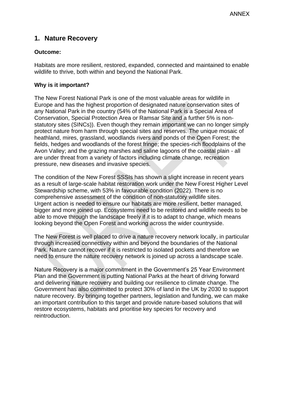# **1. Nature Recovery**

#### **Outcome:**

Habitats are more resilient, restored, expanded, connected and maintained to enable wildlife to thrive, both within and beyond the National Park.

#### **Why is it important?**

The New Forest National Park is one of the most valuable areas for wildlife in Europe and has the highest proportion of designated nature conservation sites of any National Park in the country (54% of the National Park is a Special Area of Conservation, Special Protection Area or Ramsar Site and a further 5% is nonstatutory sites (SINCs)). Even though they remain important we can no longer simply protect nature from harm through special sites and reserves. The unique mosaic of heathland, mires, grassland, woodlands rivers and ponds of the Open Forest; the fields, hedges and woodlands of the forest fringe; the species-rich floodplains of the Avon Valley; and the grazing marshes and saline lagoons of the coastal plain - all are under threat from a variety of factors including climate change, recreation pressure, new diseases and invasive species.

The condition of the New Forest SSSIs has shown a slight increase in recent years as a result of large-scale habitat restoration work under the New Forest Higher Level Stewardship scheme, with 53% in favourable condition (2022). There is no comprehensive assessment of the condition of non-statutory wildlife sites. Urgent action is needed to ensure our habitats are more resilient, better managed, bigger and more joined up. Ecosystems need to be restored and wildlife needs to be able to move through the landscape freely if it is to adapt to change, which means looking beyond the Open Forest and working across the wider countryside.

The New Forest is well placed to drive a nature recovery network locally, in particular through increased connectivity within and beyond the boundaries of the National Park. Nature cannot recover if it is restricted to isolated pockets and therefore we need to ensure the nature recovery network is joined up across a landscape scale.

Nature Recovery is a major commitment in the Government's 25 Year Environment Plan and the Government is putting National Parks at the heart of driving forward and delivering nature recovery and building our resilience to climate change. The Government has also committed to protect 30% of land in the UK by 2030 to support nature recovery. By bringing together partners, legislation and funding, we can make an important contribution to this target and provide nature-based solutions that will restore ecosystems, habitats and prioritise key species for recovery and reintroduction.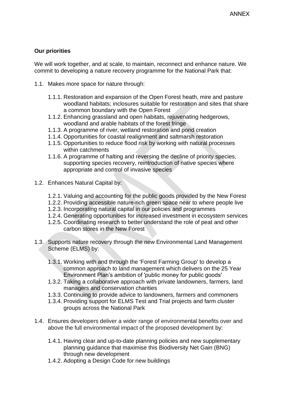#### **Our priorities**

We will work together, and at scale, to maintain, reconnect and enhance nature. We commit to developing a nature recovery programme for the National Park that:

- 1.1. Makes more space for nature through:
	- 1.1.1. Restoration and expansion of the Open Forest heath, mire and pasture woodland habitats; inclosures suitable for restoration and sites that share a common boundary with the Open Forest
	- 1.1.2. Enhancing grassland and open habitats, rejuvenating hedgerows, woodland and arable habitats of the forest fringe
	- 1.1.3. A programme of river, wetland restoration and pond creation
	- 1.1.4. Opportunities for coastal realignment and saltmarsh restoration
	- 1.1.5. Opportunities to reduce flood risk by working with natural processes within catchments
	- 1.1.6. A programme of halting and reversing the decline of priority species, supporting species recovery, reintroduction of native species where appropriate and control of invasive species
- 1.2. Enhances Natural Capital by:
	- 1.2.1. Valuing and accounting for the public goods provided by the New Forest
	- 1.2.2. Providing accessible nature-rich green space near to where people live
	- 1.2.3. Incorporating natural capital in our policies and programmes
	- 1.2.4. Generating opportunities for increased investment in ecosystem services
	- 1.2.5. Coordinating research to better understand the role of peat and other carbon stores in the New Forest
- 1.3. Supports nature recovery through the new Environmental Land Management Scheme (ELMS) by:
	- 1.3.1. Working with and through the 'Forest Farming Group' to develop a common approach to land management which delivers on the 25 Year Environment Plan's ambition of 'public money for public goods'
	- 1.3.2. Taking a collaborative approach with private landowners, farmers, land managers and conservation charities
	- 1.3.3. Continuing to provide advice to landowners, farmers and commoners
	- 1.3.4. Providing support for ELMS Test and Trial projects and farm cluster groups across the National Park
- 1.4. Ensures developers deliver a wider range of environmental benefits over and above the full environmental impact of the proposed development by:
	- 1.4.1. Having clear and up-to-date planning policies and new supplementary planning guidance that maximise this Biodiversity Net Gain (BNG) through new development
	- 1.4.2. Adopting a Design Code for new buildings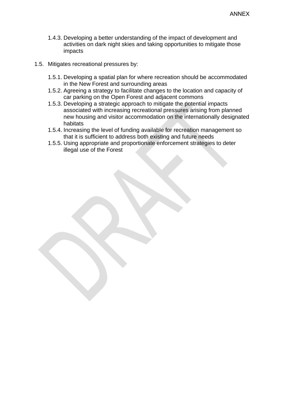- 1.4.3. Developing a better understanding of the impact of development and activities on dark night skies and taking opportunities to mitigate those impacts
- 1.5. Mitigates recreational pressures by:
	- 1.5.1. Developing a spatial plan for where recreation should be accommodated in the New Forest and surrounding areas
	- 1.5.2. Agreeing a strategy to facilitate changes to the location and capacity of car parking on the Open Forest and adjacent commons
	- 1.5.3. Developing a strategic approach to mitigate the potential impacts associated with increasing recreational pressures arising from planned new housing and visitor accommodation on the internationally designated habitats
	- 1.5.4. Increasing the level of funding available for recreation management so that it is sufficient to address both existing and future needs
	- 1.5.5. Using appropriate and proportionate enforcement strategies to deter illegal use of the Forest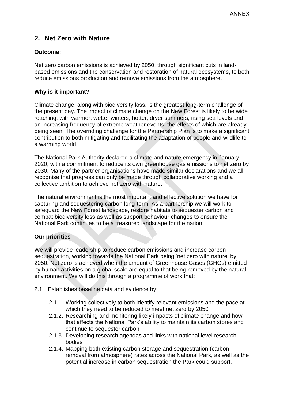# **2. Net Zero with Nature**

#### **Outcome:**

Net zero carbon emissions is achieved by 2050, through significant cuts in landbased emissions and the conservation and restoration of natural ecosystems, to both reduce emissions production and remove emissions from the atmosphere.

#### **Why is it important?**

Climate change, along with biodiversity loss, is the greatest long-term challenge of the present day. The impact of climate change on the New Forest is likely to be wide reaching, with warmer, wetter winters, hotter, dryer summers, rising sea levels and an increasing frequency of extreme weather events, the effects of which are already being seen. The overriding challenge for the Partnership Plan is to make a significant contribution to both mitigating and facilitating the adaptation of people and wildlife to a warming world.

The National Park Authority declared a climate and nature emergency in January 2020, with a commitment to reduce its own greenhouse gas emissions to net zero by 2030. Many of the partner organisations have made similar declarations and we all recognise that progress can only be made through collaborative working and a collective ambition to achieve net zero with nature.

The natural environment is the most important and effective solution we have for capturing and sequestering carbon long-term. As a partnership we will work to safeguard the New Forest landscape, restore habitats to sequester carbon and combat biodiversity loss as well as support behaviour changes to ensure the National Park continues to be a treasured landscape for the nation.

#### **Our priorities**

We will provide leadership to reduce carbon emissions and increase carbon sequestration, working towards the National Park being 'net zero with nature' by 2050. Net zero is achieved when the amount of Greenhouse Gases (GHGs) emitted by human activities on a global scale are equal to that being removed by the natural environment. We will do this through a programme of work that:

- 2.1. Establishes baseline data and evidence by:
	- 2.1.1. Working collectively to both identify relevant emissions and the pace at which they need to be reduced to meet net zero by 2050
	- 2.1.2. Researching and monitoring likely impacts of climate change and how that affects the National Park's ability to maintain its carbon stores and continue to sequester carbon
	- 2.1.3. Developing research agendas and links with national level research bodies
	- 2.1.4. Mapping both existing carbon storage and sequestration (carbon removal from atmosphere) rates across the National Park, as well as the potential increase in carbon sequestration the Park could support.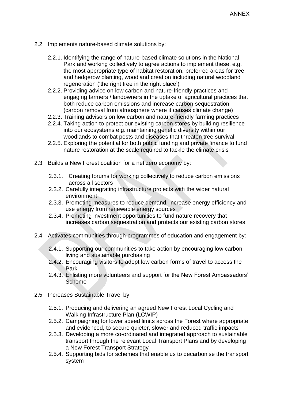- 2.2. Implements nature-based climate solutions by:
	- 2.2.1. Identifying the range of nature-based climate solutions in the National Park and working collectively to agree actions to implement these, e.g. the most appropriate type of habitat restoration, preferred areas for tree and hedgerow planting, woodland creation including natural woodland regeneration ('the right tree in the right place')
	- 2.2.2. Providing advice on low carbon and nature-friendly practices and engaging farmers / landowners in the uptake of agricultural practices that both reduce carbon emissions and increase carbon sequestration (carbon removal from atmosphere where it causes climate change)
	- 2.2.3. Training advisors on low carbon and nature-friendly farming practices
	- 2.2.4. Taking action to protect our existing carbon stores by building resilience into our ecosystems e.g. maintaining genetic diversity within our woodlands to combat pests and diseases that threaten tree survival
	- 2.2.5. Exploring the potential for both public funding and private finance to fund nature restoration at the scale required to tackle the climate crisis
- 2.3. Builds a New Forest coalition for a net zero economy by:
	- 2.3.1. Creating forums for working collectively to reduce carbon emissions across all sectors
	- 2.3.2. Carefully integrating infrastructure projects with the wider natural environment
	- 2.3.3. Promoting measures to reduce demand, increase energy efficiency and use energy from renewable energy sources
	- 2.3.4. Promoting investment opportunities to fund nature recovery that increases carbon sequestration and protects our existing carbon stores
- 2.4. Activates communities through programmes of education and engagement by:
	- 2.4.1. Supporting our communities to take action by encouraging low carbon living and sustainable purchasing
	- 2.4.2. Encouraging visitors to adopt low carbon forms of travel to access the Park
	- 2.4.3. Enlisting more volunteers and support for the New Forest Ambassadors' Scheme
- 2.5. Increases Sustainable Travel by:
	- 2.5.1. Producing and delivering an agreed New Forest Local Cycling and Walking Infrastructure Plan (LCWIP)
	- 2.5.2. Campaigning for lower speed limits across the Forest where appropriate and evidenced, to secure quieter, slower and reduced traffic impacts
	- 2.5.3. Developing a more co-ordinated and integrated approach to sustainable transport through the relevant Local Transport Plans and by developing a New Forest Transport Strategy
	- 2.5.4. Supporting bids for schemes that enable us to decarbonise the transport system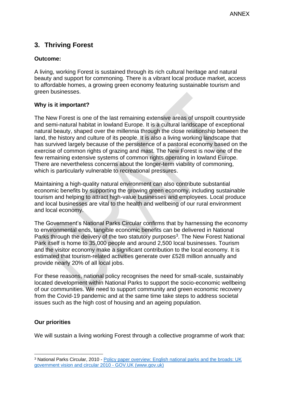# **3. Thriving Forest**

#### **Outcome:**

A living, working Forest is sustained through its rich cultural heritage and natural beauty and support for commoning. There is a vibrant local produce market, access to affordable homes, a growing green economy featuring sustainable tourism and green businesses.

#### **Why is it important?**

The New Forest is one of the last remaining extensive areas of unspoilt countryside and semi-natural habitat in lowland Europe. It is a cultural landscape of exceptional natural beauty, shaped over the millennia through the close relationship between the land, the history and culture of its people. It is also a living working landscape that has survived largely because of the persistence of a pastoral economy based on the exercise of common rights of grazing and mast. The New Forest is now one of the few remaining extensive systems of common rights operating in lowland Europe. There are nevertheless concerns about the longer-term viability of commoning, which is particularly vulnerable to recreational pressures.

Maintaining a high-quality natural environment can also contribute substantial economic benefits by supporting the growing green economy, including sustainable tourism and helping to attract high-value businesses and employees. Local produce and local businesses are vital to the health and wellbeing of our rural environment and local economy.

The Government's National Parks Circular confirms that by harnessing the economy to environmental ends, tangible economic benefits can be delivered in National Parks through the delivery of the two statutory purposes<sup>3</sup>. The New Forest National Park itself is home to 35,000 people and around 2,500 local businesses. Tourism and the visitor economy make a significant contribution to the local economy. It is estimated that tourism-related activities generate over £528 million annually and provide nearly 20% of all local jobs.

For these reasons, national policy recognises the need for small-scale, sustainably located development within National Parks to support the socio-economic wellbeing of our communities. We need to support community and green economic recovery from the Covid-19 pandemic and at the same time take steps to address societal issues such as the high cost of housing and an ageing population.

#### **Our priorities**

We will sustain a living working Forest through a collective programme of work that:

<sup>&</sup>lt;sup>3</sup> National Parks Circular, 2010 - Policy paper overview: English national parks and the broads: UK [government vision and circular 2010 -](https://www.gov.uk/government/publications/english-national-parks-and-the-broads-uk-government-vision-and-circular-2010) GOV.UK (www.gov.uk)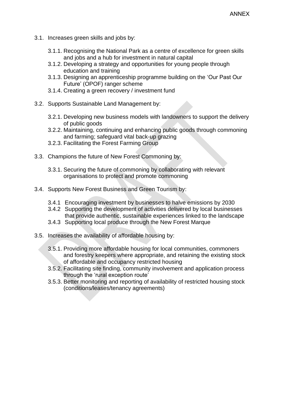- 3.1. Increases green skills and jobs by:
	- 3.1.1. Recognising the National Park as a centre of excellence for green skills and jobs and a hub for investment in natural capital
	- 3.1.2. Developing a strategy and opportunities for young people through education and training
	- 3.1.3. Designing an apprenticeship programme building on the 'Our Past Our Future' (OPOF) ranger scheme
	- 3.1.4. Creating a green recovery / investment fund
- 3.2. Supports Sustainable Land Management by:
	- 3.2.1. Developing new business models with landowners to support the delivery of public goods
	- 3.2.2. Maintaining, continuing and enhancing public goods through commoning and farming; safeguard vital back-up grazing
	- 3.2.3. Facilitating the Forest Farming Group
- 3.3. Champions the future of New Forest Commoning by:
	- 3.3.1. Securing the future of commoning by collaborating with relevant organisations to protect and promote commoning
- 3.4. Supports New Forest Business and Green Tourism by:
	- 3.4.1 Encouraging investment by businesses to halve emissions by 2030
	- 3.4.2 Supporting the development of activities delivered by local businesses that provide authentic, sustainable experiences linked to the landscape
	- 3.4.3 Supporting local produce through the New Forest Marque
- 3.5. Increases the availability of affordable housing by:
	- 3.5.1. Providing more affordable housing for local communities, commoners and forestry keepers where appropriate, and retaining the existing stock of affordable and occupancy restricted housing
	- 3.5.2. Facilitating site finding, community involvement and application process through the 'rural exception route'
	- 3.5.3. Better monitoring and reporting of availability of restricted housing stock (conditions/leases/tenancy agreements)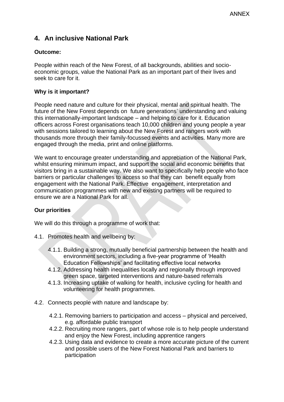# **4. An inclusive National Park**

#### **Outcome:**

People within reach of the New Forest, of all backgrounds, abilities and socioeconomic groups, value the National Park as an important part of their lives and seek to care for it.

#### **Why is it important?**

People need nature and culture for their physical, mental and spiritual health. The future of the New Forest depends on future generations' understanding and valuing this internationally-important landscape – and helping to care for it. Education officers across Forest organisations teach 10,000 children and young people a year with sessions tailored to learning about the New Forest and rangers work with thousands more through their family-focussed events and activities. Many more are engaged through the media, print and online platforms.

We want to encourage greater understanding and appreciation of the National Park, whilst ensuring minimum impact, and support the social and economic benefits that visitors bring in a sustainable way. We also want to specifically help people who face barriers or particular challenges to access so that they can benefit equally from engagement with the National Park. Effective engagement, interpretation and communication programmes with new and existing partners will be required to ensure we are a National Park for all.

#### **Our priorities**

We will do this through a programme of work that:

- 4.1. Promotes health and wellbeing by:
	- 4.1.1. Building a strong, mutually beneficial partnership between the health and environment sectors, including a five-year programme of 'Health Education Fellowships' and facilitating effective local networks
	- 4.1.2. Addressing health inequalities locally and regionally through improved green space, targeted interventions and nature-based referrals
	- 4.1.3. Increasing uptake of walking for health, inclusive cycling for health and volunteering for health programmes.
- 4.2. Connects people with nature and landscape by:
	- 4.2.1. Removing barriers to participation and access physical and perceived, e.g. affordable public transport
	- 4.2.2. Recruiting more rangers, part of whose role is to help people understand and enjoy the New Forest, including apprentice rangers
	- 4.2.3. Using data and evidence to create a more accurate picture of the current and possible users of the New Forest National Park and barriers to participation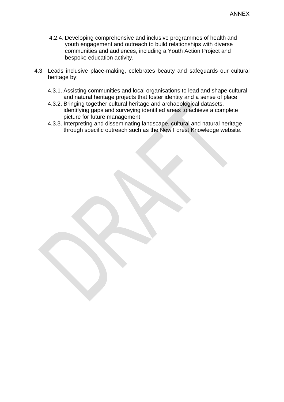- 4.2.4. Developing comprehensive and inclusive programmes of health and youth engagement and outreach to build relationships with diverse communities and audiences, including a Youth Action Project and bespoke education activity.
- 4.3. Leads inclusive place-making, celebrates beauty and safeguards our cultural heritage by:
	- 4.3.1. Assisting communities and local organisations to lead and shape cultural and natural heritage projects that foster identity and a sense of place
	- 4.3.2. Bringing together cultural heritage and archaeological datasets, identifying gaps and surveying identified areas to achieve a complete picture for future management
	- 4.3.3. Interpreting and disseminating landscape, cultural and natural heritage through specific outreach such as the New Forest Knowledge website.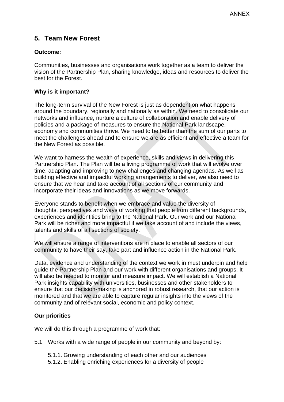# **5. Team New Forest**

#### **Outcome:**

Communities, businesses and organisations work together as a team to deliver the vision of the Partnership Plan, sharing knowledge, ideas and resources to deliver the best for the Forest.

#### **Why is it important?**

The long-term survival of the New Forest is just as dependent on what happens around the boundary, regionally and nationally as within. We need to consolidate our networks and influence, nurture a culture of collaboration and enable delivery of policies and a package of measures to ensure the National Park landscape, economy and communities thrive. We need to be better than the sum of our parts to meet the challenges ahead and to ensure we are as efficient and effective a team for the New Forest as possible.

We want to harness the wealth of experience, skills and views in delivering this Partnership Plan. The Plan will be a living programme of work that will evolve over time, adapting and improving to new challenges and changing agendas. As well as building effective and impactful working arrangements to deliver, we also need to ensure that we hear and take account of all sections of our community and incorporate their ideas and innovations as we move forwards.

Everyone stands to benefit when we embrace and value the diversity of thoughts, perspectives and ways of working that people from different backgrounds, experiences and identities bring to the National Park. Our work and our National Park will be richer and more impactful if we take account of and include the views, talents and skills of all sections of society.

We will ensure a range of interventions are in place to enable all sectors of our community to have their say, take part and influence action in the National Park.

Data, evidence and understanding of the context we work in must underpin and help guide the Partnership Plan and our work with different organisations and groups. It will also be needed to monitor and measure impact. We will establish a National Park insights capability with universities, businesses and other stakeholders to ensure that our decision-making is anchored in robust research, that our action is monitored and that we are able to capture regular insights into the views of the community and of relevant social, economic and policy context.

#### **Our priorities**

We will do this through a programme of work that:

5.1. Works with a wide range of people in our community and beyond by:

- 5.1.1. Growing understanding of each other and our audiences
- 5.1.2. Enabling enriching experiences for a diversity of people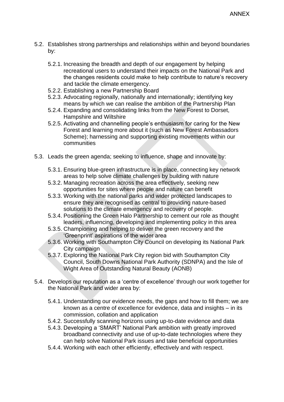- 5.2. Establishes strong partnerships and relationships within and beyond boundaries by:
	- 5.2.1. Increasing the breadth and depth of our engagement by helping recreational users to understand their impacts on the National Park and the changes residents could make to help contribute to nature's recovery and tackle the climate emergency.
	- 5.2.2. Establishing a new Partnership Board
	- 5.2.3. Advocating regionally, nationally and internationally; identifying key means by which we can realise the ambition of the Partnership Plan
	- 5.2.4. Expanding and consolidating links from the New Forest to Dorset, Hampshire and Wiltshire
	- 5.2.5. Activating and channelling people's enthusiasm for caring for the New Forest and learning more about it (such as New Forest Ambassadors Scheme); harnessing and supporting existing movements within our communities
- 5.3. Leads the green agenda; seeking to influence, shape and innovate by:
	- 5.3.1. Ensuring blue-green infrastructure is in place, connecting key network areas to help solve climate challenges by building with nature
	- 5.3.2. Managing recreation across the area effectively, seeking new opportunities for sites where people and nature can benefit
	- 5.3.3. Working with the national parks and wider protected landscapes to ensure they are recognised as central to providing nature-based solutions to the climate emergency and recovery of people.
	- 5.3.4. Positioning the Green Halo Partnership to cement our role as thought leaders, influencing, developing and implementing policy in this area
	- 5.3.5. Championing and helping to deliver the green recovery and the 'Greenprint' aspirations of the wider area
	- 5.3.6. Working with Southampton City Council on developing its National Park City campaign
	- 5.3.7. Exploring the National Park City region bid with Southampton City Council, South Downs National Park Authority (SDNPA) and the Isle of Wight Area of Outstanding Natural Beauty (AONB)
- 5.4. Develops our reputation as a 'centre of excellence' through our work together for the National Park and wider area by:
	- 5.4.1. Understanding our evidence needs, the gaps and how to fill them; we are known as a centre of excellence for evidence, data and insights – in its commission, collation and application
	- 5.4.2. Successfully scanning horizons using up-to-date evidence and data
	- 5.4.3. Developing a 'SMART' National Park ambition with greatly improved broadband connectivity and use of up-to-date technologies where they can help solve National Park issues and take beneficial opportunities
	- 5.4.4. Working with each other efficiently, effectively and with respect.